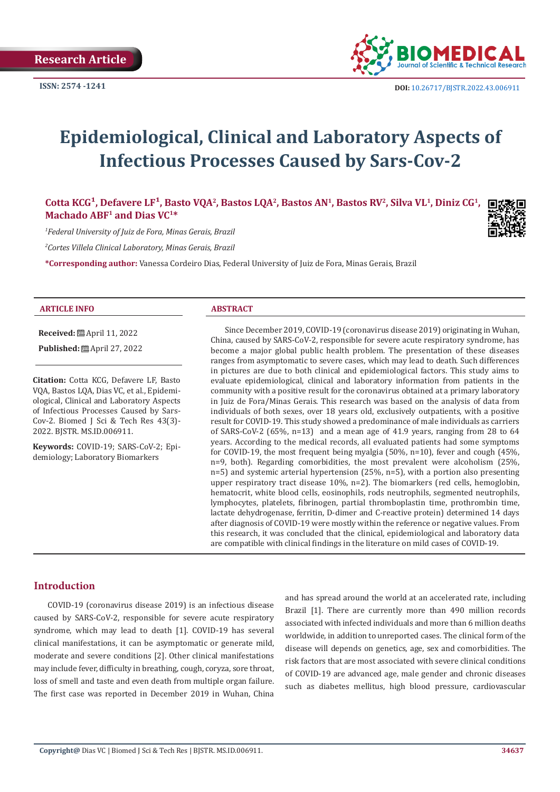

# **Epidemiological, Clinical and Laboratory Aspects of Infectious Processes Caused by Sars-Cov-2**

Cotta KCG<sup>1</sup>, Defavere LF<sup>1</sup>, Basto VQA<sup>2</sup>, Bastos LQA<sup>2</sup>, Bastos AN<sup>1</sup>, Bastos RV<sup>2</sup>, Silva VL<sup>1</sup>, Diniz CG<sup>1</sup>, **Machado ABF1 and Dias VC1\***

*1 Federal University of Juiz de Fora, Minas Gerais, Brazil*

*2 Cortes Villela Clinical Laboratory, Minas Gerais, Brazil*

**\*Corresponding author:** Vanessa Cordeiro Dias, Federal University of Juiz de Fora, Minas Gerais, Brazil

#### **ARTICLE INFO ABSTRACT**

**Received:** April 11, 2022

**Published:** 圖 April 27, 2022

**Citation:** Cotta KCG, Defavere LF, Basto VQA, Bastos LQA, Dias VC, et al., Epidemiological, Clinical and Laboratory Aspects of Infectious Processes Caused by Sars-Cov-2. Biomed J Sci & Tech Res 43(3)- 2022. BJSTR. MS.ID.006911.

**Keywords:** COVID-19; SARS-CoV-2; Epidemiology; Laboratory Biomarkers

Since December 2019, COVID-19 (coronavirus disease 2019) originating in Wuhan, China, caused by SARS-CoV-2, responsible for severe acute respiratory syndrome, has become a major global public health problem. The presentation of these diseases ranges from asymptomatic to severe cases, which may lead to death. Such differences in pictures are due to both clinical and epidemiological factors. This study aims to evaluate epidemiological, clinical and laboratory information from patients in the community with a positive result for the coronavirus obtained at a primary laboratory in Juiz de Fora/Minas Gerais. This research was based on the analysis of data from individuals of both sexes, over 18 years old, exclusively outpatients, with a positive result for COVID-19. This study showed a predominance of male individuals as carriers of SARS-CoV-2 (65%, n=13) and a mean age of 41.9 years, ranging from 28 to 64 years. According to the medical records, all evaluated patients had some symptoms for COVID-19, the most frequent being myalgia (50%, n=10), fever and cough (45%, n=9, both). Regarding comorbidities, the most prevalent were alcoholism (25%, n=5) and systemic arterial hypertension (25%, n=5), with a portion also presenting upper respiratory tract disease 10%, n=2). The biomarkers (red cells, hemoglobin, hematocrit, white blood cells, eosinophils, rods neutrophils, segmented neutrophils, lymphocytes, platelets, fibrinogen, partial thromboplastin time, prothrombin time, lactate dehydrogenase, ferritin, D-dimer and C-reactive protein) determined 14 days after diagnosis of COVID-19 were mostly within the reference or negative values. From this research, it was concluded that the clinical, epidemiological and laboratory data are compatible with clinical findings in the literature on mild cases of COVID-19.

#### **Introduction**

COVID-19 (coronavirus disease 2019) is an infectious disease caused by SARS-CoV-2, responsible for severe acute respiratory syndrome, which may lead to death [1]. COVID-19 has several clinical manifestations, it can be asymptomatic or generate mild, moderate and severe conditions [2]. Other clinical manifestations may include fever, difficulty in breathing, cough, coryza, sore throat, loss of smell and taste and even death from multiple organ failure. The first case was reported in December 2019 in Wuhan, China

and has spread around the world at an accelerated rate, including Brazil [1]. There are currently more than 490 million records associated with infected individuals and more than 6 million deaths worldwide, in addition to unreported cases. The clinical form of the disease will depends on genetics, age, sex and comorbidities. The risk factors that are most associated with severe clinical conditions of COVID-19 are advanced age, male gender and chronic diseases such as diabetes mellitus, high blood pressure, cardiovascular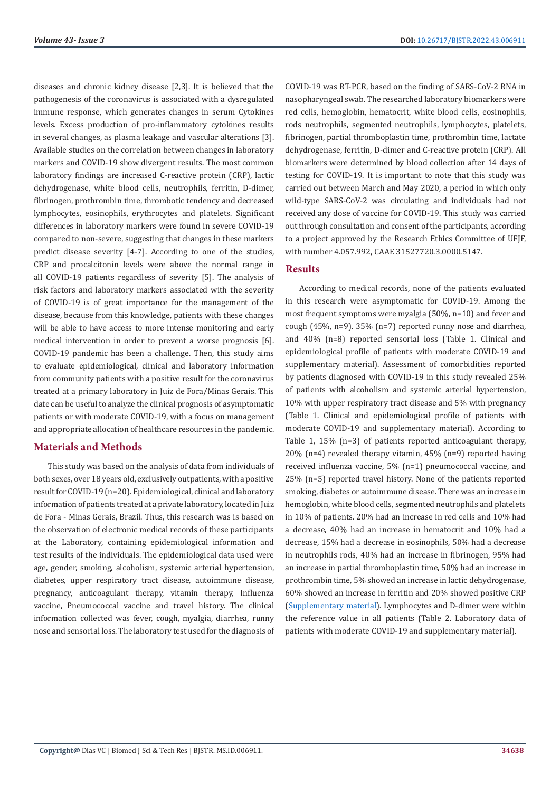diseases and chronic kidney disease [2,3]. It is believed that the pathogenesis of the coronavirus is associated with a dysregulated immune response, which generates changes in serum Cytokines levels. Excess production of pro-inflammatory cytokines results in several changes, as plasma leakage and vascular alterations [3]. Available studies on the correlation between changes in laboratory markers and COVID-19 show divergent results. The most common laboratory findings are increased C-reactive protein (CRP), lactic dehydrogenase, white blood cells, neutrophils, ferritin, D-dimer, fibrinogen, prothrombin time, thrombotic tendency and decreased lymphocytes, eosinophils, erythrocytes and platelets. Significant differences in laboratory markers were found in severe COVID-19 compared to non-severe, suggesting that changes in these markers predict disease severity [4-7]. According to one of the studies, CRP and procalcitonin levels were above the normal range in all COVID-19 patients regardless of severity [5]. The analysis of risk factors and laboratory markers associated with the severity of COVID-19 is of great importance for the management of the disease, because from this knowledge, patients with these changes will be able to have access to more intense monitoring and early medical intervention in order to prevent a worse prognosis [6]. COVID-19 pandemic has been a challenge. Then, this study aims to evaluate epidemiological, clinical and laboratory information from community patients with a positive result for the coronavirus treated at a primary laboratory in Juiz de Fora/Minas Gerais. This date can be useful to analyze the clinical prognosis of asymptomatic patients or with moderate COVID-19, with a focus on management and appropriate allocation of healthcare resources in the pandemic.

# **Materials and Methods**

This study was based on the analysis of data from individuals of both sexes, over 18 years old, exclusively outpatients, with a positive result for COVID-19 (n=20). Epidemiological, clinical and laboratory information of patients treated at a private laboratory, located in Juiz de Fora - Minas Gerais, Brazil. Thus, this research was is based on the observation of electronic medical records of these participants at the Laboratory, containing epidemiological information and test results of the individuals. The epidemiological data used were age, gender, smoking, alcoholism, systemic arterial hypertension, diabetes, upper respiratory tract disease, autoimmune disease, pregnancy, anticoagulant therapy, vitamin therapy, Influenza vaccine, Pneumococcal vaccine and travel history. The clinical information collected was fever, cough, myalgia, diarrhea, runny nose and sensorial loss. The laboratory test used for the diagnosis of COVID-19 was RT-PCR, based on the finding of SARS-CoV-2 RNA in nasopharyngeal swab. The researched laboratory biomarkers were red cells, hemoglobin, hematocrit, white blood cells, eosinophils, rods neutrophils, segmented neutrophils, lymphocytes, platelets, fibrinogen, partial thromboplastin time, prothrombin time, lactate dehydrogenase, ferritin, D-dimer and C-reactive protein (CRP). All biomarkers were determined by blood collection after 14 days of testing for COVID-19. It is important to note that this study was carried out between March and May 2020, a period in which only wild-type SARS-CoV-2 was circulating and individuals had not received any dose of vaccine for COVID-19. This study was carried out through consultation and consent of the participants, according to a project approved by the Research Ethics Committee of UFJF, with number 4.057.992, CAAE 31527720.3.0000.5147.

# **Results**

According to medical records, none of the patients evaluated in this research were asymptomatic for COVID-19. Among the most frequent symptoms were myalgia (50%, n=10) and fever and cough (45%, n=9). 35% (n=7) reported runny nose and diarrhea, and 40% (n=8) reported sensorial loss (Table 1. Clinical and epidemiological profile of patients with moderate COVID-19 and supplementary material). Assessment of comorbidities reported by patients diagnosed with COVID-19 in this study revealed 25% of patients with alcoholism and systemic arterial hypertension, 10% with upper respiratory tract disease and 5% with pregnancy (Table 1. Clinical and epidemiological profile of patients with moderate COVID-19 and supplementary material). According to Table 1, 15% (n=3) of patients reported anticoagulant therapy, 20% (n=4) revealed therapy vitamin, 45% (n=9) reported having received influenza vaccine, 5% (n=1) pneumococcal vaccine, and 25% (n=5) reported travel history. None of the patients reported smoking, diabetes or autoimmune disease. There was an increase in hemoglobin, white blood cells, segmented neutrophils and platelets in 10% of patients. 20% had an increase in red cells and 10% had a decrease, 40% had an increase in hematocrit and 10% had a decrease, 15% had a decrease in eosinophils, 50% had a decrease in neutrophils rods, 40% had an increase in fibrinogen, 95% had an increase in partial thromboplastin time, 50% had an increase in prothrombin time, 5% showed an increase in lactic dehydrogenase, 60% showed an increase in ferritin and 20% showed positive CRP [\(Supplementary material\)](https://biomedres.us/pdfs/BJSTR.MS.ID.006911-Supplementary-Material.pdf). Lymphocytes and D-dimer were within the reference value in all patients (Table 2. Laboratory data of patients with moderate COVID-19 and supplementary material).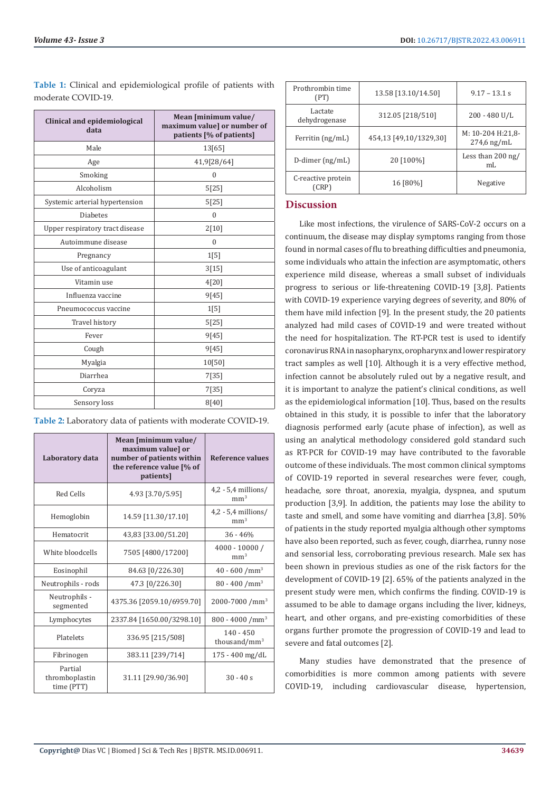| Clinical and epidemiological<br>data | Mean [minimum value/<br>maximum value] or number of<br>patients [% of patients] |  |
|--------------------------------------|---------------------------------------------------------------------------------|--|
| Male                                 | 13[65]                                                                          |  |
| Age                                  | 41,9[28/64]                                                                     |  |
| Smoking                              | $\mathbf{0}$                                                                    |  |
| Alcoholism                           | 5[25]                                                                           |  |
| Systemic arterial hypertension       | 5[25]                                                                           |  |
| <b>Diabetes</b>                      | $\mathbf{0}$                                                                    |  |
| Upper respiratory tract disease      | 2[10]                                                                           |  |
| Autoimmune disease                   | $\mathbf{0}$                                                                    |  |
| Pregnancy                            | 1[5]                                                                            |  |
| Use of anticoagulant                 | 3[15]                                                                           |  |
| Vitamin use                          | 4[20]                                                                           |  |
| Influenza vaccine                    | 9[45]                                                                           |  |
| Pneumococcus vaccine                 | 1[5]                                                                            |  |
| Travel history                       | 5[25]                                                                           |  |
| Fever                                | 9[45]                                                                           |  |
| Cough                                | 9[45]                                                                           |  |
| Myalgia                              | 10[50]                                                                          |  |
| Diarrhea                             | 7[35]                                                                           |  |
| Coryza                               | 7[35]                                                                           |  |
| Sensory loss                         | 8[40]                                                                           |  |

**Table 1:** Clinical and epidemiological profile of patients with moderate COVID-19.

**Table 2:** Laboratory data of patients with moderate COVID-19.

| Laboratory data                         | Mean [minimum value/<br>maximum value] or<br>number of patients within<br>the reference value [% of<br>patients] | Reference values                         |
|-----------------------------------------|------------------------------------------------------------------------------------------------------------------|------------------------------------------|
| Red Cells                               | 4.93 [3.70/5.95]                                                                                                 | $4,2 - 5,4$ millions/<br>mm <sup>3</sup> |
| Hemoglobin                              | 14.59 [11.30/17.10]                                                                                              | $4,2 - 5,4$ millions/<br>mm <sup>3</sup> |
| Hematocrit                              | 43,83 [33.00/51.20]                                                                                              | $36 - 46%$                               |
| White bloodcells                        | 7505 [4800/17200]                                                                                                | $4000 - 10000 /$<br>mm <sup>3</sup>      |
| Eosinophil                              | 84.63 [0/226.30]                                                                                                 | $40 - 600 / mm3$                         |
| Neutrophils - rods                      | 47.3 [0/226.30]                                                                                                  | $80 - 400 / mm3$                         |
| Neutrophils -<br>segmented              | 4375.36 [2059.10/6959.70]                                                                                        | 2000-7000 /mm <sup>3</sup>               |
| Lymphocytes                             | 2337.84 [1650.00/3298.10]                                                                                        | $800 - 4000$ /mm <sup>3</sup>            |
| Platelets                               | 336.95 [215/508]                                                                                                 | $140 - 450$<br>thousand/ $mm3$           |
| Fibrinogen                              | 383.11 [239/714]                                                                                                 | 175 - 400 mg/dL                          |
| Partial<br>thromboplastin<br>time (PTT) | 31.11 [29.90/36.90]                                                                                              | $30 - 40s$                               |

| Prothrombin time<br>(PT)    | 13.58 [13.10/14.50]    | $9.17 - 13.1$ s                    |
|-----------------------------|------------------------|------------------------------------|
| Lactate<br>dehydrogenase    | 312.05 [218/510]       | 200 - 480 U/L                      |
| Ferritin (ng/mL)            | 454,13 [49,10/1329,30] | M: 10-204 H:21,8-<br>$274,6$ ng/mL |
| D-dimer (ng/mL)             | 20 [100%]              | Less than $200$ ng/<br>mL          |
| C-reactive protein<br>(CRP) | 16 [80%]               | Negative                           |

# **Discussion**

Like most infections, the virulence of SARS-CoV-2 occurs on a continuum, the disease may display symptoms ranging from those found in normal cases of flu to breathing difficulties and pneumonia, some individuals who attain the infection are asymptomatic, others experience mild disease, whereas a small subset of individuals progress to serious or life-threatening COVID-19 [3,8]. Patients with COVID-19 experience varying degrees of severity, and 80% of them have mild infection [9]. In the present study, the 20 patients analyzed had mild cases of COVID-19 and were treated without the need for hospitalization. The RT-PCR test is used to identify coronavirus RNA in nasopharynx, oropharynx and lower respiratory tract samples as well [10]. Although it is a very effective method, infection cannot be absolutely ruled out by a negative result, and it is important to analyze the patient's clinical conditions, as well as the epidemiological information [10]. Thus, based on the results obtained in this study, it is possible to infer that the laboratory diagnosis performed early (acute phase of infection), as well as using an analytical methodology considered gold standard such as RT-PCR for COVID-19 may have contributed to the favorable outcome of these individuals. The most common clinical symptoms of COVID-19 reported in several researches were fever, cough, headache, sore throat, anorexia, myalgia, dyspnea, and sputum production [3,9]. In addition, the patients may lose the ability to taste and smell, and some have vomiting and diarrhea [3,8]. 50% of patients in the study reported myalgia although other symptoms have also been reported, such as fever, cough, diarrhea, runny nose and sensorial less, corroborating previous research. Male sex has been shown in previous studies as one of the risk factors for the development of COVID-19 [2]. 65% of the patients analyzed in the present study were men, which confirms the finding. COVID-19 is assumed to be able to damage organs including the liver, kidneys, heart, and other organs, and pre-existing comorbidities of these organs further promote the progression of COVID-19 and lead to severe and fatal outcomes [2].

Many studies have demonstrated that the presence of comorbidities is more common among patients with severe COVID-19, including cardiovascular disease, hypertension,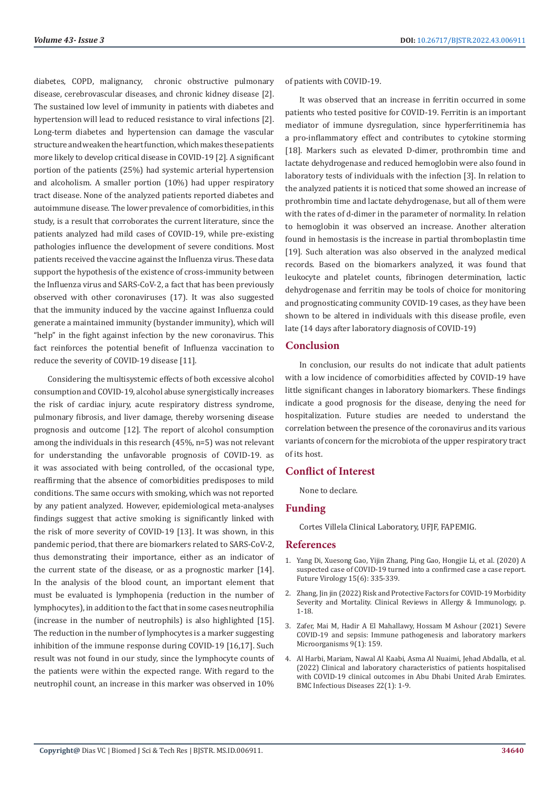diabetes, COPD, malignancy, chronic obstructive pulmonary disease, cerebrovascular diseases, and chronic kidney disease [2]. The sustained low level of immunity in patients with diabetes and hypertension will lead to reduced resistance to viral infections [2]. Long-term diabetes and hypertension can damage the vascular structure and weaken the heart function, which makes these patients more likely to develop critical disease in COVID-19 [2]. A significant portion of the patients (25%) had systemic arterial hypertension and alcoholism. A smaller portion (10%) had upper respiratory tract disease. None of the analyzed patients reported diabetes and autoimmune disease. The lower prevalence of comorbidities, in this study, is a result that corroborates the current literature, since the patients analyzed had mild cases of COVID-19, while pre-existing pathologies influence the development of severe conditions. Most patients received the vaccine against the Influenza virus. These data support the hypothesis of the existence of cross-immunity between the Influenza virus and SARS-CoV-2, a fact that has been previously observed with other coronaviruses (17). It was also suggested that the immunity induced by the vaccine against Influenza could generate a maintained immunity (bystander immunity), which will "help" in the fight against infection by the new coronavirus. This fact reinforces the potential benefit of Influenza vaccination to reduce the severity of COVID-19 disease [11].

Considering the multisystemic effects of both excessive alcohol consumption and COVID-19, alcohol abuse synergistically increases the risk of cardiac injury, acute respiratory distress syndrome, pulmonary fibrosis, and liver damage, thereby worsening disease prognosis and outcome [12]. The report of alcohol consumption among the individuals in this research (45%, n=5) was not relevant for understanding the unfavorable prognosis of COVID-19. as it was associated with being controlled, of the occasional type, reaffirming that the absence of comorbidities predisposes to mild conditions. The same occurs with smoking, which was not reported by any patient analyzed. However, epidemiological meta-analyses findings suggest that active smoking is significantly linked with the risk of more severity of COVID-19 [13]. It was shown, in this pandemic period, that there are biomarkers related to SARS-CoV-2, thus demonstrating their importance, either as an indicator of the current state of the disease, or as a prognostic marker [14]. In the analysis of the blood count, an important element that must be evaluated is lymphopenia (reduction in the number of lymphocytes), in addition to the fact that in some cases neutrophilia (increase in the number of neutrophils) is also highlighted [15]. The reduction in the number of lymphocytes is a marker suggesting inhibition of the immune response during COVID-19 [16,17]. Such result was not found in our study, since the lymphocyte counts of the patients were within the expected range. With regard to the neutrophil count, an increase in this marker was observed in 10%

of patients with COVID-19.

It was observed that an increase in ferritin occurred in some patients who tested positive for COVID-19. Ferritin is an important mediator of immune dysregulation, since hyperferritinemia has a pro-inflammatory effect and contributes to cytokine storming [18]. Markers such as elevated D-dimer, prothrombin time and lactate dehydrogenase and reduced hemoglobin were also found in laboratory tests of individuals with the infection [3]. In relation to the analyzed patients it is noticed that some showed an increase of prothrombin time and lactate dehydrogenase, but all of them were with the rates of d-dimer in the parameter of normality. In relation to hemoglobin it was observed an increase. Another alteration found in hemostasis is the increase in partial thromboplastin time [19]. Such alteration was also observed in the analyzed medical records. Based on the biomarkers analyzed, it was found that leukocyte and platelet counts, fibrinogen determination, lactic dehydrogenase and ferritin may be tools of choice for monitoring and prognosticating community COVID-19 cases, as they have been shown to be altered in individuals with this disease profile, even late (14 days after laboratory diagnosis of COVID-19)

### **Conclusion**

In conclusion, our results do not indicate that adult patients with a low incidence of comorbidities affected by COVID-19 have little significant changes in laboratory biomarkers. These findings indicate a good prognosis for the disease, denying the need for hospitalization. Future studies are needed to understand the correlation between the presence of the coronavirus and its various variants of concern for the microbiota of the upper respiratory tract of its host.

# **Conflict of Interest**

None to declare.

## **Funding**

Cortes Villela Clinical Laboratory, UFJF, FAPEMIG.

#### **References**

- 1. [Yang Di, Xuesong Gao, Yijin Zhang, Ping Gao, Hongjie Li, et al. \(2020\) A](https://pubmed.ncbi.nlm.nih.gov/33169084/) [suspected case of COVID-19 turned into a confirmed case a case report.](https://pubmed.ncbi.nlm.nih.gov/33169084/) [Future Virology 15\(6\): 335-339.](https://pubmed.ncbi.nlm.nih.gov/33169084/)
- 2. [Zhang, Jin jin \(2022\) Risk and Protective Factors for COVID-19 Morbidity](https://link.springer.com/article/10.1007/s12016-022-08921-5) [Severity and Mortality. Clinical Reviews in Allergy & Immunology, p.](https://link.springer.com/article/10.1007/s12016-022-08921-5) [1-18.](https://link.springer.com/article/10.1007/s12016-022-08921-5)
- 3. [Zafer, Mai M, Hadir A El Mahallawy, Hossam M Ashour \(2021\) Severe](https://pubmed.ncbi.nlm.nih.gov/33445583/) [COVID-19 and sepsis: Immune pathogenesis and laboratory markers](https://pubmed.ncbi.nlm.nih.gov/33445583/) [Microorganisms 9\(1\): 159.](https://pubmed.ncbi.nlm.nih.gov/33445583/)
- 4. Al Harbi, Mariam, Nawal Al Kaabi, Asma Al Nuaimi, Jehad Abdalla, et al. (2022) Clinical and laboratory characteristics of patients hospitalised with COVID-19 clinical outcomes in Abu Dhabi United Arab Emirates. BMC Infectious Diseases 22(1): 1-9.